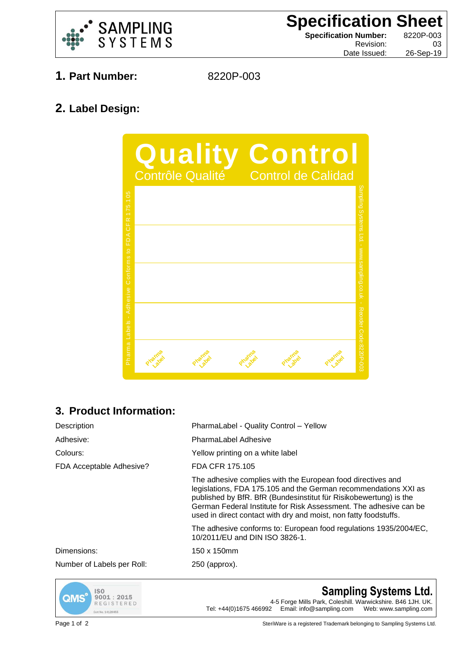

**Specification Sheet Specification Number:** 8220P-003 Revision: 03

Date Issued: 26-Sep-19

- **1. Part Number:** 8220P-003
	-

## **2. Label Design:**



## **3. Product Information:**

| Description                | PharmaLabel - Quality Control - Yellow                                                                                                                                                                                                                                                                                                       |
|----------------------------|----------------------------------------------------------------------------------------------------------------------------------------------------------------------------------------------------------------------------------------------------------------------------------------------------------------------------------------------|
| Adhesive:                  | <b>PharmaLabel Adhesive</b>                                                                                                                                                                                                                                                                                                                  |
| Colours:                   | Yellow printing on a white label                                                                                                                                                                                                                                                                                                             |
| FDA Acceptable Adhesive?   | FDA CFR 175.105                                                                                                                                                                                                                                                                                                                              |
|                            | The adhesive complies with the European food directives and<br>legislations, FDA 175.105 and the German recommendations XXI as<br>published by BfR. BfR (Bundesinstitut für Risikobewertung) is the<br>German Federal Institute for Risk Assessment. The adhesive can be<br>used in direct contact with dry and moist, non fatty foodstuffs. |
|                            | The adhesive conforms to: European food regulations 1935/2004/EC,<br>10/2011/EU and DIN ISO 3826-1.                                                                                                                                                                                                                                          |
| Dimensions:                | 150 x 150mm                                                                                                                                                                                                                                                                                                                                  |
| Number of Labels per Roll: | 250 (approx).                                                                                                                                                                                                                                                                                                                                |



**Sampling Systems Ltd.** 4-5 Forge Mills Park, Coleshill. Warwickshire. B46 1JH. UK. Tel: +44(0)1675 466992 Email: info@sampling.com Web: www.sampling.com

Page 1 of 2 SteriWare is a registered Trademark belonging to Sampling Systems Ltd.